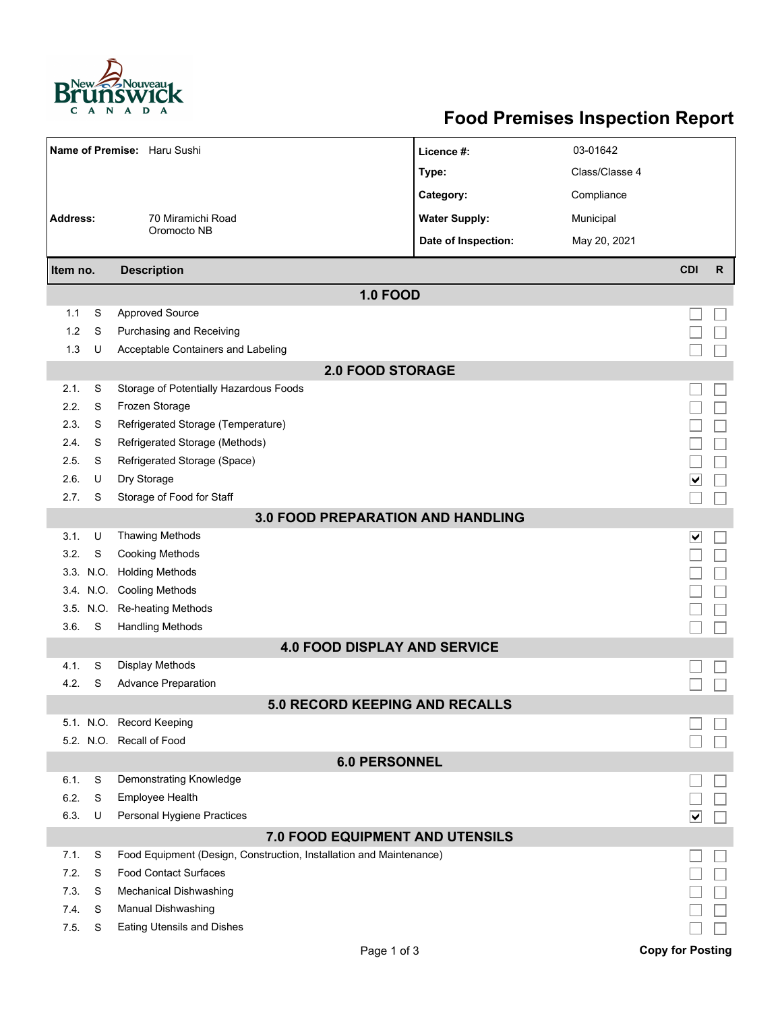

## **Food Premises Inspection Report**

| Name of Premise: Haru Sushi |           |                                                                     | Licence #:           | 03-01642       |                         |              |  |  |  |  |  |
|-----------------------------|-----------|---------------------------------------------------------------------|----------------------|----------------|-------------------------|--------------|--|--|--|--|--|
|                             |           |                                                                     | Type:                | Class/Classe 4 |                         |              |  |  |  |  |  |
|                             |           |                                                                     | Category:            | Compliance     |                         |              |  |  |  |  |  |
| <b>Address:</b>             |           | 70 Miramichi Road                                                   | <b>Water Supply:</b> | Municipal      |                         |              |  |  |  |  |  |
|                             |           | Oromocto NB                                                         |                      |                |                         |              |  |  |  |  |  |
|                             |           |                                                                     | Date of Inspection:  | May 20, 2021   |                         |              |  |  |  |  |  |
| Item no.                    |           | <b>Description</b>                                                  |                      |                | <b>CDI</b>              | $\mathsf{R}$ |  |  |  |  |  |
|                             |           | <b>1.0 FOOD</b>                                                     |                      |                |                         |              |  |  |  |  |  |
| 1.1                         | S         | <b>Approved Source</b>                                              |                      |                |                         |              |  |  |  |  |  |
| 1.2                         | S         | Purchasing and Receiving                                            |                      |                |                         |              |  |  |  |  |  |
| 1.3                         | U         | Acceptable Containers and Labeling                                  |                      |                |                         |              |  |  |  |  |  |
| <b>2.0 FOOD STORAGE</b>     |           |                                                                     |                      |                |                         |              |  |  |  |  |  |
| 2.1.                        | S         | Storage of Potentially Hazardous Foods                              |                      |                |                         |              |  |  |  |  |  |
| 2.2.                        | S         | Frozen Storage                                                      |                      |                |                         |              |  |  |  |  |  |
| 2.3.                        | S         | Refrigerated Storage (Temperature)                                  |                      |                |                         |              |  |  |  |  |  |
| 2.4.                        | S         | Refrigerated Storage (Methods)                                      |                      |                |                         |              |  |  |  |  |  |
| 2.5.                        | S         | Refrigerated Storage (Space)                                        |                      |                |                         |              |  |  |  |  |  |
| 2.6.                        | U         | Dry Storage                                                         |                      |                | ⊻                       |              |  |  |  |  |  |
| 2.7.                        | S         | Storage of Food for Staff                                           |                      |                |                         |              |  |  |  |  |  |
|                             |           | <b>3.0 FOOD PREPARATION AND HANDLING</b>                            |                      |                |                         |              |  |  |  |  |  |
| 3.1.                        | U         | <b>Thawing Methods</b>                                              |                      |                | ⊻                       |              |  |  |  |  |  |
| 3.2.                        | S         | <b>Cooking Methods</b>                                              |                      |                |                         |              |  |  |  |  |  |
|                             |           | 3.3. N.O. Holding Methods                                           |                      |                |                         |              |  |  |  |  |  |
|                             |           | 3.4. N.O. Cooling Methods                                           |                      |                |                         |              |  |  |  |  |  |
|                             | 3.5. N.O. | Re-heating Methods                                                  |                      |                |                         |              |  |  |  |  |  |
| 3.6.                        | S         | <b>Handling Methods</b>                                             |                      |                |                         |              |  |  |  |  |  |
|                             |           | <b>4.0 FOOD DISPLAY AND SERVICE</b>                                 |                      |                |                         |              |  |  |  |  |  |
| 4.1.                        | S         | Display Methods                                                     |                      |                |                         |              |  |  |  |  |  |
| 4.2.                        | S         | <b>Advance Preparation</b>                                          |                      |                |                         |              |  |  |  |  |  |
|                             |           | 5.0 RECORD KEEPING AND RECALLS                                      |                      |                |                         |              |  |  |  |  |  |
|                             |           | 5.1. N.O. Record Keeping                                            |                      |                |                         |              |  |  |  |  |  |
|                             |           | 5.2. N.O. Recall of Food                                            |                      |                |                         |              |  |  |  |  |  |
|                             |           | <b>6.0 PERSONNEL</b>                                                |                      |                |                         |              |  |  |  |  |  |
| 6.1.                        | S         | Demonstrating Knowledge                                             |                      |                |                         |              |  |  |  |  |  |
| 6.2.                        | S         | Employee Health                                                     |                      |                |                         |              |  |  |  |  |  |
| 6.3.                        | U         | Personal Hygiene Practices                                          |                      |                | ∨                       |              |  |  |  |  |  |
|                             |           | 7.0 FOOD EQUIPMENT AND UTENSILS                                     |                      |                |                         |              |  |  |  |  |  |
| 7.1.                        | S         | Food Equipment (Design, Construction, Installation and Maintenance) |                      |                |                         |              |  |  |  |  |  |
| 7.2.                        | S         | <b>Food Contact Surfaces</b>                                        |                      |                |                         |              |  |  |  |  |  |
| 7.3                         | S         | <b>Mechanical Dishwashing</b>                                       |                      |                |                         |              |  |  |  |  |  |
| 7.4.                        | S         | Manual Dishwashing                                                  |                      |                |                         |              |  |  |  |  |  |
| 7.5.                        | S         | <b>Eating Utensils and Dishes</b>                                   |                      |                |                         |              |  |  |  |  |  |
|                             |           | Page 1 of 3                                                         |                      |                | <b>Copy for Posting</b> |              |  |  |  |  |  |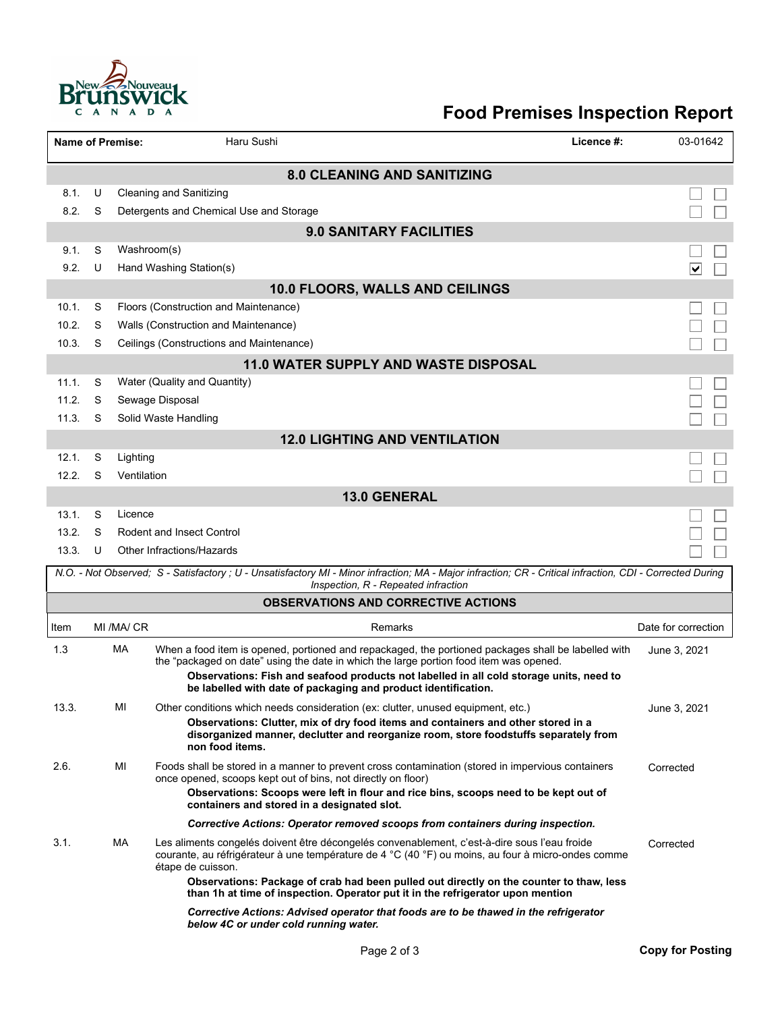

## **Food Premises Inspection Report**

|                                    | <b>Name of Premise:</b><br>Haru Sushi<br>Licence #: |                                      |                                                                                                                                                                                                                                                                                                                                                            |                     |  |  |  |  |  |  |  |
|------------------------------------|-----------------------------------------------------|--------------------------------------|------------------------------------------------------------------------------------------------------------------------------------------------------------------------------------------------------------------------------------------------------------------------------------------------------------------------------------------------------------|---------------------|--|--|--|--|--|--|--|
| <b>8.0 CLEANING AND SANITIZING</b> |                                                     |                                      |                                                                                                                                                                                                                                                                                                                                                            |                     |  |  |  |  |  |  |  |
| 8.1.                               | U                                                   |                                      | <b>Cleaning and Sanitizing</b>                                                                                                                                                                                                                                                                                                                             |                     |  |  |  |  |  |  |  |
| 8.2.                               | S                                                   |                                      | Detergents and Chemical Use and Storage                                                                                                                                                                                                                                                                                                                    |                     |  |  |  |  |  |  |  |
| <b>9.0 SANITARY FACILITIES</b>     |                                                     |                                      |                                                                                                                                                                                                                                                                                                                                                            |                     |  |  |  |  |  |  |  |
| 9.1.                               | S                                                   |                                      | Washroom(s)                                                                                                                                                                                                                                                                                                                                                |                     |  |  |  |  |  |  |  |
| 9.2.                               | U                                                   |                                      | Hand Washing Station(s)                                                                                                                                                                                                                                                                                                                                    | ⋁                   |  |  |  |  |  |  |  |
|                                    | 10.0 FLOORS, WALLS AND CEILINGS                     |                                      |                                                                                                                                                                                                                                                                                                                                                            |                     |  |  |  |  |  |  |  |
| 10.1.                              | S                                                   |                                      | Floors (Construction and Maintenance)                                                                                                                                                                                                                                                                                                                      |                     |  |  |  |  |  |  |  |
| 10.2.                              | S                                                   | Walls (Construction and Maintenance) |                                                                                                                                                                                                                                                                                                                                                            |                     |  |  |  |  |  |  |  |
| 10.3.                              | S                                                   |                                      | Ceilings (Constructions and Maintenance)                                                                                                                                                                                                                                                                                                                   |                     |  |  |  |  |  |  |  |
|                                    |                                                     |                                      | <b>11.0 WATER SUPPLY AND WASTE DISPOSAL</b>                                                                                                                                                                                                                                                                                                                |                     |  |  |  |  |  |  |  |
| 11.1.<br>11.2.                     | S<br>S                                              |                                      | Water (Quality and Quantity)                                                                                                                                                                                                                                                                                                                               |                     |  |  |  |  |  |  |  |
| 11.3.                              | S                                                   |                                      | Sewage Disposal<br>Solid Waste Handling                                                                                                                                                                                                                                                                                                                    |                     |  |  |  |  |  |  |  |
|                                    |                                                     |                                      | <b>12.0 LIGHTING AND VENTILATION</b>                                                                                                                                                                                                                                                                                                                       |                     |  |  |  |  |  |  |  |
| 12.1.                              | S                                                   | Lighting                             |                                                                                                                                                                                                                                                                                                                                                            |                     |  |  |  |  |  |  |  |
| 12.2.                              | S                                                   | Ventilation                          |                                                                                                                                                                                                                                                                                                                                                            |                     |  |  |  |  |  |  |  |
|                                    |                                                     |                                      | 13.0 GENERAL                                                                                                                                                                                                                                                                                                                                               |                     |  |  |  |  |  |  |  |
| 13.1.                              | S                                                   | Licence                              |                                                                                                                                                                                                                                                                                                                                                            |                     |  |  |  |  |  |  |  |
| 13.2.                              | S                                                   |                                      | Rodent and Insect Control                                                                                                                                                                                                                                                                                                                                  |                     |  |  |  |  |  |  |  |
| 13.3.                              | U                                                   |                                      | Other Infractions/Hazards                                                                                                                                                                                                                                                                                                                                  |                     |  |  |  |  |  |  |  |
|                                    |                                                     |                                      | N.O. - Not Observed; S - Satisfactory ; U - Unsatisfactory MI - Minor infraction; MA - Major infraction; CR - Critical infraction, CDI - Corrected During<br>Inspection, R - Repeated infraction                                                                                                                                                           |                     |  |  |  |  |  |  |  |
|                                    |                                                     |                                      | <b>OBSERVATIONS AND CORRECTIVE ACTIONS</b>                                                                                                                                                                                                                                                                                                                 |                     |  |  |  |  |  |  |  |
| Item                               |                                                     | MI /MA/ CR                           | Remarks                                                                                                                                                                                                                                                                                                                                                    | Date for correction |  |  |  |  |  |  |  |
| 1.3                                |                                                     | МA                                   | When a food item is opened, portioned and repackaged, the portioned packages shall be labelled with<br>the "packaged on date" using the date in which the large portion food item was opened.<br>Observations: Fish and seafood products not labelled in all cold storage units, need to<br>be labelled with date of packaging and product identification. | June 3, 2021        |  |  |  |  |  |  |  |
| 13.3.                              |                                                     | MI                                   | Other conditions which needs consideration (ex: clutter, unused equipment, etc.)<br>Observations: Clutter, mix of dry food items and containers and other stored in a<br>disorganized manner, declutter and reorganize room, store foodstuffs separately from<br>non food items.                                                                           | June 3, 2021        |  |  |  |  |  |  |  |
| 2.6.                               |                                                     | MI                                   | Foods shall be stored in a manner to prevent cross contamination (stored in impervious containers<br>once opened, scoops kept out of bins, not directly on floor)<br>Observations: Scoops were left in flour and rice bins, scoops need to be kept out of<br>containers and stored in a designated slot.                                                   | Corrected           |  |  |  |  |  |  |  |
|                                    |                                                     |                                      | Corrective Actions: Operator removed scoops from containers during inspection.                                                                                                                                                                                                                                                                             |                     |  |  |  |  |  |  |  |
| 3.1.                               |                                                     | МA                                   | Les aliments congelés doivent être décongelés convenablement, c'est-à-dire sous l'eau froide<br>courante, au réfrigérateur à une température de 4 °C (40 °F) ou moins, au four à micro-ondes comme<br>étape de cuisson.                                                                                                                                    | Corrected           |  |  |  |  |  |  |  |
|                                    |                                                     |                                      | Observations: Package of crab had been pulled out directly on the counter to thaw, less<br>than 1h at time of inspection. Operator put it in the refrigerator upon mention                                                                                                                                                                                 |                     |  |  |  |  |  |  |  |
|                                    |                                                     |                                      | Corrective Actions: Advised operator that foods are to be thawed in the refrigerator<br>below 4C or under cold running water.                                                                                                                                                                                                                              |                     |  |  |  |  |  |  |  |